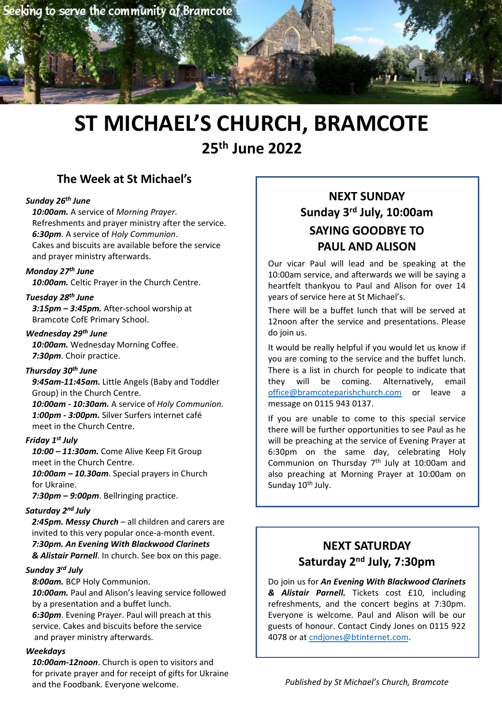

# **ST MICHAEL'S CHURCH, BRAMCOTE 25th June 2022**

# **The Week at St Michael's**

#### *Sunday 26th June*

*10:00am.* A service of *Morning Prayer*. Refreshments and prayer ministry after the service. *6:30pm*. A service of *Holy Communion*. Cakes and biscuits are available before the service and prayer ministry afterwards.

#### *Monday 27th June*

*10:00am.* Celtic Prayer in the Church Centre.

#### *Tuesday 28th June*

*3:15pm – 3:45pm.* After-school worship at Bramcote CofE Primary School.

#### *Wednesday 29th June*

*10:00am.* Wednesday Morning Coffee. *7:30pm*. Choir practice.

#### *Thursday 30th June*

*9:45am-11:45am.* Little Angels (Baby and Toddler Group) in the Church Centre.

*10:00am - 10:30am.* A service of *Holy Communion. 1:00pm - 3:00pm.* Silver Surfers internet café meet in the Church Centre.

#### *Friday 1st July*

*10:00 – 11:30am.* Come Alive Keep Fit Group meet in the Church Centre.

*10:00am – 10.30am*. Special prayers in Church for Ukraine.

*7:30pm – 9:00pm*. Bellringing practice.

#### *Saturday 2nd July*

*2:45pm. Messy Church* – all children and carers are invited to this very popular once-a-month event. *7:30pm. An Evening With Blackwood Clarinets & Alistair Parnell*. In church. See box on this page.

#### *Sunday 3rd July*

*8:00am.* BCP Holy Communion.

*10:00am.* Paul and Alison's leaving service followed by a presentation and a buffet lunch. *6:30pm*. Evening Prayer. Paul will preach at this service. Cakes and biscuits before the service and prayer ministry afterwards.

#### *Weekdays*

*10:00am-12noon*. Church is open to visitors and for private prayer and for receipt of gifts for Ukraine and the Foodbank. Everyone welcome.

# **NEXT SUNDAY Sunday 3rd July, 10:00am SAYING GOODBYE TO PAUL AND ALISON**

Our vicar Paul will lead and be speaking at the 10:00am service, and afterwards we will be saying a heartfelt thankyou to Paul and Alison for over 14 years of service here at St Michael's.

There will be a buffet lunch that will be served at 12noon after the service and presentations. Please do join us.

It would be really helpful if you would let us know if you are coming to the service and the buffet lunch. There is a list in church for people to indicate that they will be [coming.](mailto:office@bramcoteparishchurch.com) Alternatively, email office@bramcoteparishchurch.com or leave a message on 0115 943 0137.

If you are unable to come to this special service there will be further opportunities to see Paul as he will be preaching at the service of Evening Prayer at 6:30pm on the same day, celebrating Holy Communion on Thursday 7th July at 10:00am and also preaching at Morning Prayer at 10:00am on Sunday 10<sup>th</sup> July.

# **NEXT SATURDAY Saturday 2nd July, 7:30pm**

Do join us for *An Evening With Blackwood Clarinets & Alistair Parnell.* Tickets cost £10, including refreshments, and the concert begins at 7:30pm. Everyone is welcome. Paul and Alison will be our guests of honour. [Contact](mailto:cndjones@btinternet.com) Cindy Jones on 0115 922 4078 or at cndjones@btinternet.com.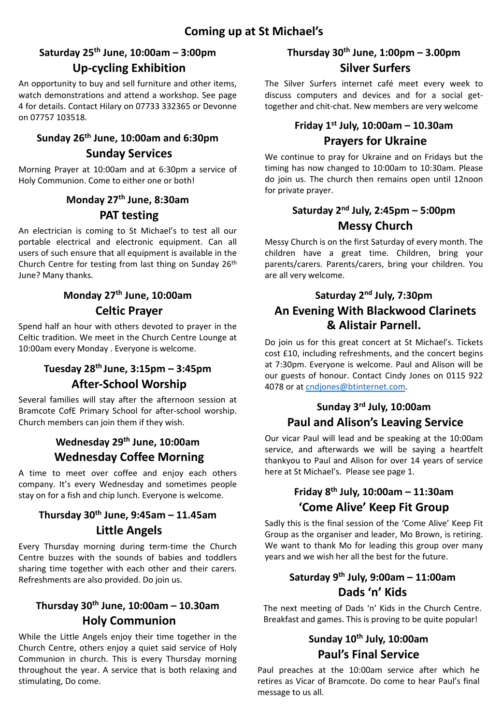#### **Saturday 25th June, 10:00am – 3:00pm Up-cycling Exhibition**

An opportunity to buy and sell furniture and other items, watch demonstrations and attend a workshop. See page 4 for details. Contact Hilary on 07733 332365 or Devonne on 07757 103518.

# **Sunday 26th June, 10:00am and 6:30pm**

#### **Sunday Services**

Morning Prayer at 10:00am and at 6:30pm a service of Holy Communion. Come to either one or both!

#### **Monday 27th June, 8:30am**

#### **PAT testing**

An electrician is coming to St Michael's to test all our portable electrical and electronic equipment. Can all users of such ensure that all equipment is available in the Church Centre for testing from last thing on Sunday 26<sup>th</sup> June? Many thanks.

# **Monday 27th June, 10:00am Celtic Prayer**

Spend half an hour with others devoted to prayer in the Celtic tradition. We meet in the Church Centre Lounge at 10:00am every Monday . Everyone is welcome.

# **Tuesday 28th June, 3:15pm – 3:45pm After-School Worship**

Several families will stay after the afternoon session at Bramcote CofE Primary School for after-school worship. Church members can join them if they wish.

# **Wednesday 29th June, 10:00am Wednesday Coffee Morning**

A time to meet over coffee and enjoy each others company. It's every Wednesday and sometimes people stay on for a fish and chip lunch. Everyone is welcome.

#### **Thursday 30th June, 9:45am – 11.45am Little Angels**

Every Thursday morning during term-time the Church Centre buzzes with the sounds of babies and toddlers sharing time together with each other and their carers. Refreshments are also provided. Do join us.

#### **Thursday 30th June, 10:00am – 10.30am Holy Communion**

While the Little Angels enjoy their time together in the Church Centre, others enjoy a quiet said service of Holy Communion in church. This is every Thursday morning throughout the year. A service that is both relaxing and stimulating, Do come.

# **Thursday 30th June, 1:00pm – 3.00pm Silver Surfers**

The Silver Surfers internet café meet every week to discuss computers and devices and for a social gettogether and chit-chat. New members are very welcome

#### **Friday 1st July, 10:00am – 10.30am Prayers for Ukraine**

We continue to pray for Ukraine and on Fridays but the timing has now changed to 10:00am to 10:30am. Please do join us. The church then remains open until 12noon for private prayer.

# **Saturday 2nd July, 2:45pm – 5:00pm Messy Church**

Messy Church is on the first Saturday of every month. The children have a great time. Children, bring your parents/carers. Parents/carers, bring your children. You are all very welcome.

## **Saturday 2nd July, 7:30pm An Evening With Blackwood Clarinets & Alistair Parnell.**

Do join us for this great concert at St Michael's. Tickets cost £10, including refreshments, and the concert begins at 7:30pm. Everyone is welcome. Paul and Alison will be our guests of [honour.](mailto:cndjones@btinternet.com) Contact Cindy Jones on 0115 922 4078 or at cndjones@btinternet.com.

#### **Sunday 3rd July, 10:00am Paul and Alison's Leaving Service**

Our vicar Paul will lead and be speaking at the 10:00am service, and afterwards we will be saying a heartfelt thankyou to Paul and Alison for over 14 years of service here at St Michael's. Please see page 1.

#### **Friday 8th July, 10:00am – 11:30am 'Come Alive' Keep Fit Group**

Sadly this is the final session of the 'Come Alive' Keep Fit Group as the organiser and leader, Mo Brown, is retiring. We want to thank Mo for leading this group over many years and we wish her all the best for the future.

# **Saturday 9th July, 9:00am – 11:00am Dads 'n' Kids**

The next meeting of Dads 'n' Kids in the Church Centre. Breakfast and games. This is proving to be quite popular!

# **Sunday 10th July, 10:00am Paul's Final Service**

Paul preaches at the 10:00am service after which he retires as Vicar of Bramcote. Do come to hear Paul's final message to us all.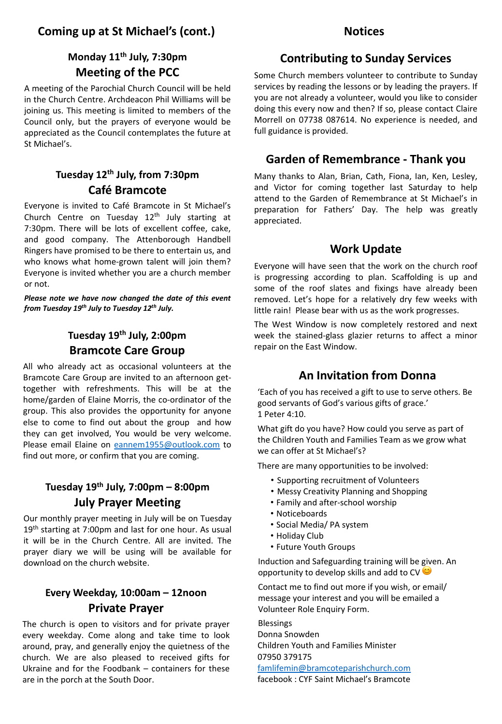#### **Coming up at St Michael's (cont.) Notices**

#### **Monday 11th July, 7:30pm Meeting of the PCC**

A meeting of the Parochial Church Council will be held in the Church Centre. Archdeacon Phil Williams will be joining us. This meeting is limited to members of the Council only, but the prayers of everyone would be appreciated as the Council contemplates the future at St Michael's.

#### **Tuesday 12th July, from 7:30pm Café Bramcote**

Everyone is invited to Café Bramcote in St Michael's Church Centre on Tuesday  $12<sup>th</sup>$  July starting at 7:30pm. There will be lots of excellent coffee, cake, and good company. The Attenborough Handbell Ringers have promised to be there to entertain us, and who knows what home-grown talent will join them? Everyone is invited whether you are a church member or not.

*Please note we have now changed the date of this event from Tuesday 19th July to Tuesday 12th July.*

#### **Tuesday 19th July, 2:00pm Bramcote Care Group**

All who already act as occasional volunteers at the Bramcote Care Group are invited to an afternoon gettogether with refreshments. This will be at the home/garden of Elaine Morris, the co-ordinator of the group. This also provides the opportunity for anyone else to come to find out about the group and how they can get involved, You would be very [welcom](mailto:eannem1955@outlook.com)e. Please email Elaine on eannem1955@outlook.com to find out more, or confirm that you are coming.

#### **Tuesday 19th July, 7:00pm – 8:00pm July Prayer Meeting**

Our monthly prayer meeting in July will be on Tuesday 19th starting at 7:00pm and last for one hour. As usual it will be in the Church Centre. All are invited. The prayer diary we will be using will be available for download on the church website.

#### **Every Weekday, 10:00am – 12noon Private Prayer**

The church is open to visitors and for private prayer every weekday. Come along and take time to look around, pray, and generally enjoy the quietness of the church. We are also pleased to received gifts for Ukraine and for the Foodbank – containers for these are in the porch at the South Door.

#### **Contributing to Sunday Services**

Some Church members volunteer to contribute to Sunday services by reading the lessons or by leading the prayers. If you are not already a volunteer, would you like to consider doing this every now and then? If so, please contact Claire Morrell on 07738 087614. No experience is needed, and full guidance is provided.

#### **Garden of Remembrance - Thank you**

Many thanks to Alan, Brian, Cath, Fiona, Ian, Ken, Lesley, and Victor for coming together last Saturday to help attend to the Garden of Remembrance at St Michael's in preparation for Fathers' Day. The help was greatly appreciated.

#### **Work Update**

Everyone will have seen that the work on the church roof is progressing according to plan. Scaffolding is up and some of the roof slates and fixings have already been removed. Let's hope for a relatively dry few weeks with little rain! Please bear with us as the work progresses.

The West Window is now completely restored and next week the stained-glass glazier returns to affect a minor repair on the East Window.

#### **An Invitation from Donna**

'Each of you has received a gift to use to serve others. Be good servants of God's various gifts of grace.' 1 Peter 4:10.

What gift do you have? How could you serve as part of the Children Youth and Families Team as we grow what we can offer at St Michael's?

There are many opportunities to be involved:

- Supporting recruitment of Volunteers
- Messy Creativity Planning and Shopping
- Family and after-school worship
- Noticeboards
- Social Media/ PA system
- Holiday Club
- Future Youth Groups

Induction and Safeguarding training will be given. An opportunity to develop skills and add to CV

Contact me to find out more if you wish, or email/ message your interest and you will be emailed a Volunteer Role Enquiry Form.

Blessings Donna Snowden

Children Youth and Families Minister [07950 379175](mailto:famlifemin@bramcoteparishchurch.com) famlifemin@bramcoteparishchurch.com facebook : CYF Saint Michael's Bramcote